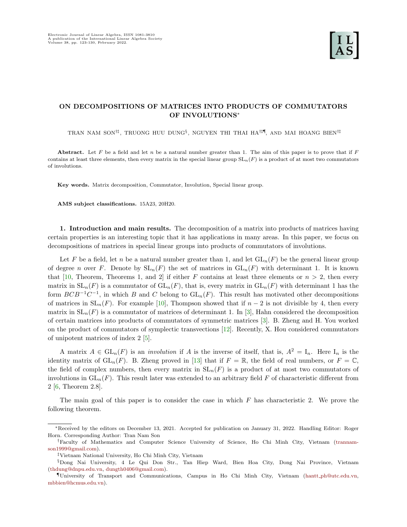# ON DECOMPOSITIONS OF MATRICES INTO PRODUCTS OF COMMUTATORS OF INVOLUTIONS<sup>∗</sup>

TRAN NAM SON<sup>†‡</sup>, TRUONG HUU DUNG<sup>§</sup>, NGUYEN THI THAI HA<sup>†‡¶</sup>, AND MAI HOANG BIEN<sup>†‡</sup>

Abstract. Let F be a field and let n be a natural number greater than 1. The aim of this paper is to prove that if  $F$ contains at least three elements, then every matrix in the special linear group  $SL_n(F)$  is a product of at most two commutators of involutions.

Key words. Matrix decomposition, Commutator, Involution, Special linear group.

AMS subject classifications. 15A23, 20H20.

1. Introduction and main results. The decomposition of a matrix into products of matrices having certain properties is an interesting topic that it has applications in many areas. In this paper, we focus on decompositions of matrices in special linear groups into products of commutators of involutions.

Let F be a field, let n be a natural number greater than 1, and let  $GL_n(F)$  be the general linear group of degree n over F. Denote by  $SL_n(F)$  the set of matrices in  $GL_n(F)$  with determinant 1. It is known that [\[10,](#page-7-0) Theorem, Theorems 1, and 2] if either F contains at least three elements or  $n > 2$ , then every matrix in  $SL_n(F)$  is a commutator of  $GL_n(F)$ , that is, every matrix in  $GL_n(F)$  with determinant 1 has the form  $BCB^{-1}C^{-1}$ , in which B and C belong to  $GL_n(F)$ . This result has motivated other decompositions of matrices in  $SL_n(F)$ . For example [\[10\]](#page-7-0), Thompson showed that if  $n-2$  is not divisible by 4, then every matrix in  $SL_n(F)$  is a commutator of matrices of determinant 1. In [\[3\]](#page-7-1), Hahn considered the decomposition of certain matrices into products of commutators of symmetric matrices [\[3\]](#page-7-1). B. Zheng and H. You worked on the product of commutators of symplectic transvections [\[12\]](#page-7-2). Recently, X. Hou considered commutators of unipotent matrices of index 2 [\[5\]](#page-7-3).

A matrix  $A \in GL_n(F)$  is an *involution* if A is the inverse of itself, that is,  $A^2 = I_n$ . Here  $I_n$  is the identity matrix of  $GL_n(F)$ . B. Zheng proved in [\[13\]](#page-7-4) that if  $F = \mathbb{R}$ , the field of real numbers, or  $F = \mathbb{C}$ , the field of complex numbers, then every matrix in  $SL_n(F)$  is a product of at most two commutators of involutions in  $GL_n(F)$ . This result later was extended to an arbitrary field F of characteristic different from 2 [\[6,](#page-7-5) Theorem 2.8].

The main goal of this paper is to consider the case in which  $F$  has characteristic 2. We prove the following theorem.

<sup>∗</sup>Received by the editors on December 13, 2021. Accepted for publication on January 31, 2022. Handling Editor: Roger Horn. Corresponding Author: Tran Nam Son

<sup>†</sup>Faculty of Mathematics and Computer Science University of Science, Ho Chi Minh City, Vietnam [\(trannam](mailto:trannamson1999@gmail.com)[son1999@gmail.com\)](mailto:trannamson1999@gmail.com).

<sup>‡</sup>Vietnam National University, Ho Chi Minh City, Vietnam

<sup>§</sup>Dong Nai University, 4 Le Qui Don Str., Tan Hiep Ward, Bien Hoa City, Dong Nai Province, Vietnam [\(thdung@dnpu.edu.vn,](mailto:thdung@dnpu.edu.vn) [dungth0406@gmail.com\)](mailto:dungth0406@gmail.com).

<sup>¶</sup>University of Transport and Communications, Campus in Ho Chi Minh City, Vietnam (hantt [ph@utc.edu.vn,](mailto:hantt_ph@utc.edu.vn) [mbbien@hcmus.edu.vn\)](mailto:mbbien@hcmus.edu.vn).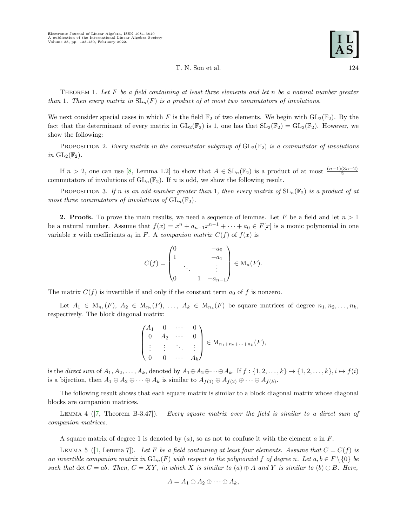T. N. Son et al. 124

THEOREM 1. Let  $F$  be a field containing at least three elements and let  $n$  be a natural number greater than 1. Then every matrix in  $SL_n(F)$  is a product of at most two commutators of involutions.

<span id="page-1-2"></span>We next consider special cases in which F is the field  $\mathbb{F}_2$  of two elements. We begin with  $GL_2(\mathbb{F}_2)$ . By the fact that the determinant of every matrix in  $GL_2(\mathbb{F}_2)$  is 1, one has that  $SL_2(\mathbb{F}_2) = GL_2(\mathbb{F}_2)$ . However, we show the following:

PROPOSITION 2. Every matrix in the commutator subgroup of  $GL_2(\mathbb{F}_2)$  is a commutator of involutions in  $GL_2(\mathbb{F}_2)$ .

If  $n > 2$ , one can use [\[8,](#page-7-6) Lemma 1.2] to show that  $A \in SL_n(\mathbb{F}_2)$  is a product of at most  $\frac{(n-1)(3n+2)}{2}$ commutators of involutions of  $GL_n(\mathbb{F}_2)$ . If n is odd, we show the following result.

<span id="page-1-3"></span>PROPOSITION 3. If n is an odd number greater than 1, then every matrix of  $SL_n(\mathbb{F}_2)$  is a product of at most three commutators of involutions of  $GL_n(\mathbb{F}_2)$ .

**2. Proofs.** To prove the main results, we need a sequence of lemmas. Let F be a field and let  $n > 1$ be a natural number. Assume that  $f(x) = x^n + a_{n-1}x^{n-1} + \cdots + a_0 \in F[x]$  is a monic polynomial in one variable x with coefficients  $a_i$  in F. A companion matrix  $C(f)$  of  $f(x)$  is

$$
C(f) = \begin{pmatrix} 0 & & & -a_0 \\ 1 & & & -a_1 \\ & \ddots & & \vdots \\ 0 & & 1 & -a_{n-1} \end{pmatrix} \in M_n(F).
$$

The matrix  $C(f)$  is invertible if and only if the constant term  $a_0$  of f is nonzero.

Let  $A_1 \in M_{n_1}(F)$ ,  $A_2 \in M_{n_2}(F)$ , ...,  $A_k \in M_{n_k}(F)$  be square matrices of degree  $n_1, n_2, \ldots, n_k$ , respectively. The block diagonal matrix:

$$
\begin{pmatrix} A_1 & 0 & \cdots & 0 \\ 0 & A_2 & \cdots & 0 \\ \vdots & \vdots & \ddots & \vdots \\ 0 & 0 & \cdots & A_k \end{pmatrix} \in M_{n_1 + n_2 + \cdots + n_k}(F),
$$

is the direct sum of  $A_1, A_2, \ldots, A_k$ , denoted by  $A_1 \oplus A_2 \oplus \cdots \oplus A_k$ . If  $f: \{1, 2, \ldots, k\} \rightarrow \{1, 2, \ldots, k\}$ ,  $i \mapsto f(i)$ is a bijection, then  $A_1 \oplus A_2 \oplus \cdots \oplus A_k$  is similar to  $A_{f(1)} \oplus A_{f(2)} \oplus \cdots \oplus A_{f(k)}$ .

The following result shows that each square matrix is similar to a block diagonal matrix whose diagonal blocks are companion matrices.

<span id="page-1-0"></span>LEMMA 4 ([\[7,](#page-7-7) Theorem B-3.47]). Every square matrix over the field is similar to a direct sum of companion matrices.

A square matrix of degree 1 is denoted by  $(a)$ , so as not to confuse it with the element a in F.

<span id="page-1-1"></span>LEMMA 5 ([\[1,](#page-7-8) Lemma 7]). Let F be a field containing at least four elements. Assume that  $C = C(f)$  is an invertible companion matrix in  $GL_n(F)$  with respect to the polynomial f of degree n. Let  $a, b \in F \setminus \{0\}$  be such that det  $C = ab$ . Then,  $C = XY$ , in which X is similar to  $(a) \oplus A$  and Y is similar to  $(b) \oplus B$ . Here,

$$
A=A_1\oplus A_2\oplus\cdots\oplus A_k,
$$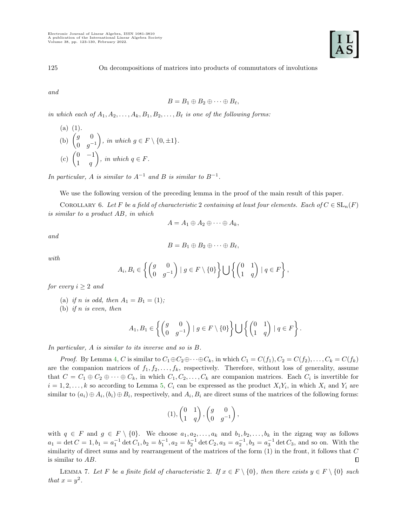

125 On decompositions of matrices into products of commutators of involutions

and

$$
B=B_1\oplus B_2\oplus\cdots\oplus B_\ell,
$$

in which each of  $A_1, A_2, \ldots, A_k, B_1, B_2, \ldots, B_\ell$  is one of the following forms:

(a) (1).  
\n(b) 
$$
\begin{pmatrix} g & 0 \\ 0 & g^{-1} \end{pmatrix}
$$
, in which  $g \in F \setminus \{0, \pm 1\}$ .  
\n(c)  $\begin{pmatrix} 0 & -1 \\ 1 & q \end{pmatrix}$ , in which  $q \in F$ .

In particular, A is similar to  $A^{-1}$  and B is similar to  $B^{-1}$ .

We use the following version of the preceding lemma in the proof of the main result of this paper.

<span id="page-2-0"></span>COROLLARY 6. Let F be a field of characteristic 2 containing at least four elements. Each of  $C \in SL_n(F)$ is similar to a product AB, in which

$$
A=A_1\oplus A_2\oplus\cdots\oplus A_k,
$$

and

$$
B=B_1\oplus B_2\oplus\cdots\oplus B_\ell,
$$

with

$$
A_i, B_i \in \left\{ \begin{pmatrix} g & 0 \\ 0 & g^{-1} \end{pmatrix} \mid g \in F \setminus \{0\} \right\} \bigcup \left\{ \begin{pmatrix} 0 & 1 \\ 1 & q \end{pmatrix} \mid q \in F \right\},\
$$

for every  $i \geq 2$  and

- (a) if *n* is odd, then  $A_1 = B_1 = (1)$ ;
- (b) if n is even, then

$$
A_1, B_1 \in \left\{ \begin{pmatrix} g & 0 \\ 0 & g^{-1} \end{pmatrix} \mid g \in F \setminus \{0\} \right\} \bigcup \left\{ \begin{pmatrix} 0 & 1 \\ 1 & q \end{pmatrix} \mid q \in F \right\}.
$$

In particular, A is similar to its inverse and so is B.

*Proof.* By Lemma [4,](#page-1-0) C is similar to  $C_1 \oplus C_2 \oplus \cdots \oplus C_k$ , in which  $C_1 = C(f_1), C_2 = C(f_2), \ldots, C_k = C(f_k)$ are the companion matrices of  $f_1, f_2, \ldots, f_k$ , respectively. Therefore, without loss of generality, assume that  $C = C_1 \oplus C_2 \oplus \cdots \oplus C_k$ , in which  $C_1, C_2, \ldots, C_k$  are companion matrices. Each  $C_i$  is invertible for  $i = 1, 2, \ldots, k$  so according to Lemma [5,](#page-1-1)  $C_i$  can be expressed as the product  $X_i Y_i$ , in which  $X_i$  and  $Y_i$  are similar to  $(a_i) \oplus A_i$ ,  $(b_i) \oplus B_i$ , respectively, and  $A_i$ ,  $B_i$  are direct sums of the matrices of the following forms:

$$
(1), \begin{pmatrix} 0 & 1 \\ 1 & q \end{pmatrix}, \begin{pmatrix} g & 0 \\ 0 & g^{-1} \end{pmatrix},
$$

with  $q \in F$  and  $g \in F \setminus \{0\}$ . We choose  $a_1, a_2, \ldots, a_k$  and  $b_1, b_2, \ldots, b_k$  in the zigzag way as follows  $a_1 = \det C = 1, b_1 = a_1^{-1} \det C_1, b_2 = b_1^{-1}, a_2 = b_2^{-1} \det C_2, a_3 = a_2^{-1}, b_3 = a_3^{-1} \det C_3$ , and so on. With the similarity of direct sums and by rearrangement of the matrices of the form  $(1)$  in the front, it follows that C is similar to AB.  $\Box$ 

<span id="page-2-1"></span>LEMMA 7. Let F be a finite field of characteristic 2. If  $x \in F \setminus \{0\}$ , then there exists  $y \in F \setminus \{0\}$  such that  $x = y^2$ .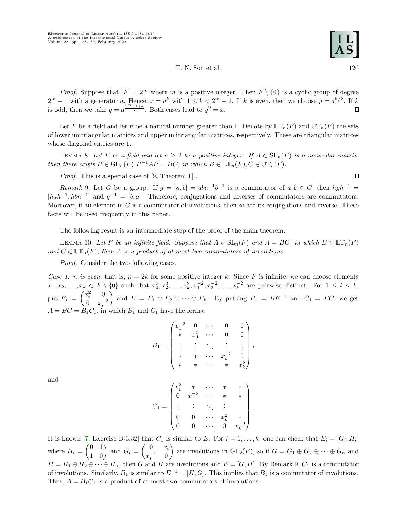T. N. Son et al. 126

*Proof.* Suppose that  $|F| = 2^m$  where m is a positive integer. Then  $F \setminus \{0\}$  is a cyclic group of degree  $2^m - 1$  with a generator a. Hence,  $x = a^k$  with  $1 \leq k < 2^m - 1$ . If k is even, then we choose  $y = a^{k/2}$ . If k is odd, then we take  $y = a^{\frac{2^m-1+k}{2}}$ . Both cases lead to  $y^2 = x$ .

Let F be a field and let n be a natural number greater than 1. Denote by  $\mathbb{LT}_n(F)$  and  $\mathbb{UT}_n(F)$  the sets of lower unitriangular matrices and upper unitriangular matrices, respectively. These are triangular matrices whose diagonal entries are 1.

<span id="page-3-1"></span>LEMMA 8. Let F be a field and let  $n \geq 2$  be a positive integer. If  $A \in SL_n(F)$  is a nonscalar matrix, then there exists  $P \in GL_n(F)$   $P^{-1}AP = BC$ , in which  $B \in \mathbb{LT}_n(F)$ ,  $C \in \mathbb{UT}_n(F)$ .

Proof. This is a special case of [\[9,](#page-7-9) Theorem 1].

<span id="page-3-0"></span>Remark 9. Let G be a group. If  $g = [a, b] = aba^{-1}b^{-1}$  is a commutator of  $a, b \in G$ , then  $hgh^{-1} =$  $[hab^{-1}, hbh^{-1}]$  and  $g^{-1} = [b, a]$ . Therefore, conjugations and inverses of commutators are commutators. Moreover, if an element in  $G$  is a commutator of involutions, then so are its conjugations and inverse. These facts will be used frequently in this paper.

The following result is an intermediate step of the proof of the main theorem.

<span id="page-3-2"></span>LEMMA 10. Let F be an infinite field. Suppose that  $A \in SL_n(F)$  and  $A = BC$ , in which  $B \in L\mathbb{T}_n(F)$ and  $C \in \mathbb{UT}_n(F)$ , then A is a product of at most two commutators of involutions.

Proof. Consider the two following cases.

Case 1. n is even, that is,  $n = 2k$  for some positive integer k. Since F is infinite, we can choose elements  $x_1, x_2, \ldots, x_k \in F \setminus \{0\}$  such that  $x_1^2, x_2^2, \ldots, x_k^2, x_1^{-2}, x_2^{-2}, \ldots, x_k^{-2}$  are pairwise distinct. For  $1 \le i \le k$ , put  $E_i = \begin{pmatrix} x_i^2 & 0 \\ 0 & x_i^- \end{pmatrix}$ 0  $x_i^{-2}$ and  $E = E_1 \oplus E_2 \oplus \cdots \oplus E_k$ . By putting  $B_1 = BE^{-1}$  and  $C_1 = EC$ , we get  $A = BC = B<sub>1</sub>C<sub>1</sub>$ , in which  $B<sub>1</sub>$  and  $C<sub>1</sub>$  have the forms:

$$
B_1 = \begin{pmatrix} x_1^{-2} & 0 & \cdots & 0 & 0 \\ * & x_1^2 & \cdots & 0 & 0 \\ \vdots & \vdots & \ddots & \vdots & \vdots \\ * & * & \cdots & x_k^{-2} & 0 \\ * & * & \cdots & * & x_k^2 \end{pmatrix},
$$

and

$$
C_1 = \begin{pmatrix} x_1^2 & * & \cdots & * & * \\ 0 & x_1^{-2} & \cdots & * & * \\ \vdots & \vdots & \ddots & \vdots & \vdots \\ 0 & 0 & \cdots & x_k^2 & * \\ 0 & 0 & \cdots & 0 & x_k^{-2} \end{pmatrix}.
$$

It is known [\[7,](#page-7-7) Exercise B-3.32] that  $C_1$  is similar to E. For  $i = 1, \ldots, k$ , one can check that  $E_i = [G_i, H_i]$ where  $H_i = \begin{pmatrix} 0 & 1 \\ 1 & 0 \end{pmatrix}$  and  $G_i = \begin{pmatrix} 0 & x_i \\ x_i^{-1} & 0 \end{pmatrix}$  $x_i^{-1}$  0 are involutions in  $\operatorname{GL}_2(F)$ , so if  $G = G_1 \oplus G_2 \oplus \cdots \oplus G_n$  and  $H = H_1 \oplus H_2 \oplus \cdots \oplus H_n$ , then G and H are involutions and  $E = [G, H]$ . By Remark [9,](#page-3-0)  $C_1$  is a commutator of involutions. Similarly,  $B_1$  is similar to  $E^{-1} = [H, G]$ . This implies that  $B_1$  is a commutator of involutions. Thus,  $A = B_1 C_1$  is a product of at most two commutators of involutions.

 $\Box$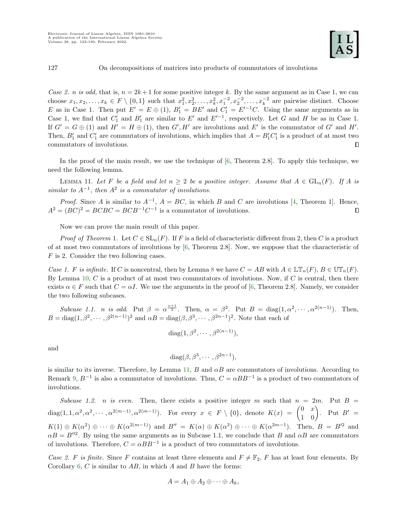## 127 On decompositions of matrices into products of commutators of involutions

Case 2. n is odd, that is,  $n = 2k+1$  for some positive integer k. By the same argument as in Case 1, we can choose  $x_1, x_2, \ldots, x_k \in F \setminus \{0, 1\}$  such that  $x_1^2, x_2^2, \ldots, x_k^2, x_1^{-2}, x_2^{-2}, \ldots, x_k^{-2}$  are pairwise distinct. Choose E as in Case 1. Then put  $E' = E \oplus (1)$ ,  $B'_1 = BE'$  and  $C'_1 = E'^{-1}C$ . Using the same arguments as in Case 1, we find that  $C'_1$  and  $B'_1$  are similar to E' and E'<sup>-1</sup>, respectively. Let G and H be as in Case 1. If  $G' = G \oplus (1)$  and  $H' = H \oplus (1)$ , then  $G', H'$  are involutions and E' is the commutator of G' and H'. Then,  $B'_1$  and  $C'_1$  are commutators of involutions, which implies that  $A = B'_1 C'_1$  is a product of at most two commutators of involutions. О

In the proof of the main result, we use the technique of  $[6,$  Theorem 2.8]. To apply this technique, we need the following lemma.

<span id="page-4-0"></span>LEMMA 11. Let F be a field and let  $n \geq 2$  be a positive integer. Assume that  $A \in GL_n(F)$ . If A is similar to  $A^{-1}$ , then  $A^2$  is a commutator of involutions.

*Proof.* Since A is similar to  $A^{-1}$ ,  $A = BC$ , in which B and C are involutions [\[4,](#page-7-10) Theorem 1]. Hence,  $A^2 = (BC)^2 = BCBC = BCB^{-1}C^{-1}$  is a commutator of involutions. О

Now we can prove the main result of this paper.

*Proof of Theorem 1.* Let  $C \in SL_n(F)$ . If F is a field of characteristic different from 2, then C is a product of at most two commutators of involutions by [\[6,](#page-7-5) Theorem 2.8]. Now, we suppose that the characteristic of F is 2. Consider the two following cases.

Case 1. F is infinite. If C is noncentral, then by Lemma [8](#page-3-1) we have  $C = AB$  with  $A \in \mathbb{LT}_n(F)$ ,  $B \in \mathbb{UT}_n(F)$ . By Lemma [10,](#page-3-2)  $C$  is a product of at most two commutators of involutions. Now, if  $C$  is central, then there exists  $\alpha \in F$  such that  $C = \alpha I$ . We use the arguments in the proof of [\[6,](#page-7-5) Theorem 2.8]. Namely, we consider the two following subcases.

Subcase 1.1. n is odd. Put  $\beta = \alpha^{\frac{n+1}{2}}$ . Then,  $\alpha = \beta^2$ . Put  $B = \text{diag}(1, \alpha^2, \dots, \alpha^{2(n-1)})$ . Then,  $B = \text{diag}(1, \beta^2, \dots, \beta^{2(n-1)})^2$  and  $\alpha B = \text{diag}(\beta, \beta^3, \dots, \beta^{2n-1})^2$ . Note that each of

$$
diag(1, \beta^2, \cdots, \beta^{2(n-1)}),
$$

and

$$
diag(\beta, \beta^3, \cdots, \beta^{2n-1}),
$$

is similar to its inverse. Therefore, by Lemma [11,](#page-4-0) B and  $\alpha B$  are commutators of involutions. According to Remark [9,](#page-3-0)  $B^{-1}$  is also a commutator of involutions. Thus,  $C = \alpha BB^{-1}$  is a product of two commutators of involutions.

Subcase 1.2. n is even. Then, there exists a positive integer m such that  $n = 2m$ . Put  $B =$  $\text{diag}(1, 1, \alpha^2, \alpha^2, \cdots, \alpha^{2(m-1)}, \alpha^{2(m-1)})$ . For every  $x \in F \setminus \{0\}$ , denote  $K(x) = \begin{pmatrix} 0 & x \\ 1 & 0 \end{pmatrix}$ . Put  $B' =$  $K(1) \oplus K(\alpha^2) \oplus \cdots \oplus K(\alpha^{2(m-1)})$  and  $B'' = K(\alpha) \oplus K(\alpha^3) \oplus \cdots \oplus K(\alpha^{2m-1})$ . Then,  $B = B'^2$  and  $\alpha B = B^{\prime\prime 2}$ . By using the same arguments as in Subcase 1.1, we conclude that B and  $\alpha B$  are commutators of involutions. Therefore,  $C = \alpha BB^{-1}$  is a product of two commutators of involutions.

Case 2. F is finite. Since F contains at least three elements and  $F \neq \mathbb{F}_2$ , F has at least four elements. By Corollary [6,](#page-2-0)  $C$  is similar to  $AB$ , in which  $A$  and  $B$  have the forms:

$$
A=A_1\oplus A_2\oplus\cdots\oplus A_k,
$$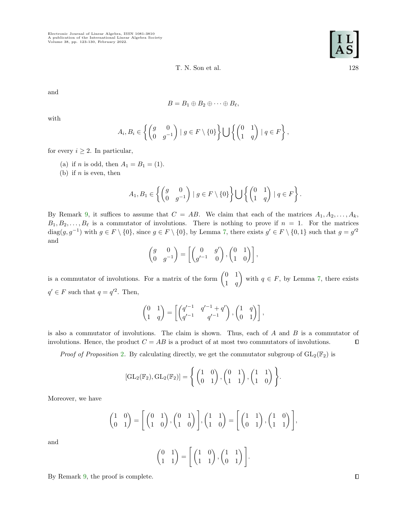Electronic Journal of Linear Algebra, ISSN 1081-3810 A publication of the International Linear Algebra Society Volume 38, pp. 123-130, February 2022.

T. N. Son et al. 128

and

$$
B=B_1\oplus B_2\oplus\cdots\oplus B_\ell,
$$

with

$$
A_i, B_i \in \left\{ \begin{pmatrix} g & 0 \\ 0 & g^{-1} \end{pmatrix} \mid g \in F \setminus \{0\} \right\} \bigcup \left\{ \begin{pmatrix} 0 & 1 \\ 1 & q \end{pmatrix} \mid q \in F \right\},\
$$

for every  $i \geq 2$ . In particular,

- (a) if *n* is odd, then  $A_1 = B_1 = (1)$ .
- (b) if  $n$  is even, then

$$
A_1, B_1 \in \left\{ \begin{pmatrix} g & 0 \\ 0 & g^{-1} \end{pmatrix} \mid g \in F \setminus \{0\} \right\} \bigcup \left\{ \begin{pmatrix} 0 & 1 \\ 1 & q \end{pmatrix} \mid q \in F \right\}.
$$

By Remark [9,](#page-3-0) it suffices to assume that  $C = AB$ . We claim that each of the matrices  $A_1, A_2, \ldots, A_k$ ,  $B_1, B_2, \ldots, B_\ell$  is a commutator of involutions. There is nothing to prove if  $n = 1$ . For the matrices diag $(g, g^{-1})$  with  $g \in F \setminus \{0\}$ , since  $g \in F \setminus \{0\}$ , by Lemma [7,](#page-2-1) there exists  $g' \in F \setminus \{0,1\}$  such that  $g = g'^2$ and

$$
\begin{pmatrix} g & 0 \\ 0 & g^{-1} \end{pmatrix} = \begin{bmatrix} 0 & g' \\ g'^{-1} & 0 \end{bmatrix}, \begin{pmatrix} 0 & 1 \\ 1 & 0 \end{pmatrix},
$$

is a commutator of involutions. For a matrix of the form  $\begin{pmatrix} 0 & 1 \\ 1 & 1 \end{pmatrix}$  $1 \quad q$ with  $q \in F$ , by Lemma [7,](#page-2-1) there exists  $q' \in F$  such that  $q = q'^2$ . Then,

$$
\begin{pmatrix} 0 & 1 \ 1 & q \end{pmatrix} = \begin{bmatrix} \begin{pmatrix} q'^{-1} & q'^{-1} + q' \\ q'^{-1} & q'^{-1} \end{pmatrix}, \begin{pmatrix} 1 & q \\ 0 & 1 \end{pmatrix} \end{bmatrix},
$$

is also a commutator of involutions. The claim is shown. Thus, each of A and B is a commutator of involutions. Hence, the product  $C = AB$  is a product of at most two commutators of involutions.  $\Box$ 

*Proof of Proposition [2](#page-1-2).* By calculating directly, we get the commutator subgroup of  $GL_2(\mathbb{F}_2)$  is

$$
[\mathrm{GL}_2(\mathbb{F}_2), \mathrm{GL}_2(\mathbb{F}_2)] = \left\{ \begin{pmatrix} 1 & 0 \\ 0 & 1 \end{pmatrix}, \begin{pmatrix} 0 & 1 \\ 1 & 1 \end{pmatrix}, \begin{pmatrix} 1 & 1 \\ 1 & 0 \end{pmatrix} \right\}.
$$

Moreover, we have

$$
\begin{pmatrix} 1 & 0 \ 0 & 1 \end{pmatrix} = \begin{bmatrix} 0 & 1 \ 1 & 0 \end{bmatrix}, \begin{pmatrix} 0 & 1 \ 1 & 0 \end{pmatrix}, \begin{pmatrix} 1 & 1 \ 1 & 0 \end{pmatrix} = \begin{bmatrix} 1 & 1 \ 0 & 1 \end{bmatrix}, \begin{pmatrix} 1 & 0 \ 1 & 1 \end{pmatrix},
$$

and

$$
\begin{pmatrix} 0 & 1 \ 1 & 1 \end{pmatrix} = \begin{bmatrix} 1 & 0 \ 1 & 1 \end{bmatrix}, \begin{pmatrix} 1 & 1 \ 0 & 1 \end{pmatrix}.
$$

By Remark [9,](#page-3-0) the proof is complete.



 $\Box$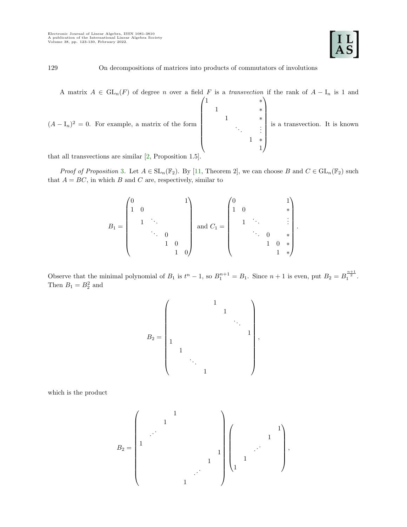.

129 On decompositions of matrices into products of commutators of involutions

A matrix  $A \in GL_n(F)$  of degree n over a field F is a transvection if the rank of  $A - I_n$  is 1 and

 $(A - I_n)^2 = 0$ . For example, a matrix of the form  $\sqrt{1}$  \*  $\overline{\phantom{a}}$ 1 ∗ 1 ∗ . . . . . . 1 ∗ 1  $\setminus$  $\begin{array}{c} \hline \end{array}$ is a transvection. It is known

that all transvections are similar [\[2,](#page-7-11) Proposition 1.5].

*Proof of Proposition* [3](#page-1-3). Let  $A \in SL_n(\mathbb{F}_2)$ . By [\[11,](#page-7-12) Theorem 2], we can choose B and  $C \in GL_n(\mathbb{F}_2)$  such that  $A = BC$ , in which B and C are, respectively, similar to

$$
B_1 = \begin{pmatrix} 0 & & & & & 1 \\ 1 & 0 & & & & \\ & & \ddots & & & \\ & & & \ddots & 0 & \\ & & & & 1 & 0 \\ & & & & & 1 & 0 \end{pmatrix} \text{ and } C_1 = \begin{pmatrix} 0 & & & & & 1 \\ 1 & 0 & & & & \\ & & \ddots & & & \\ & & & \ddots & 0 & * \\ & & & & 1 & 0 * \\ & & & & & 1 & * \end{pmatrix}
$$

Observe that the minimal polynomial of  $B_1$  is  $t^n - 1$ , so  $B_1^{n+1} = B_1$ . Since  $n+1$  is even, put  $B_2 = B_1^{\frac{n+1}{2}}$ . Then  $B_1 = B_2^2$  and



which is the product

$$
B_2=\left(\begin{matrix}&&&1&&&\\&&1&&&\\&\ddots&&&&&\\&&&&&1&\\&&&&&1&\\&&&&&1&\\&&&&&1&\\&&&&&\ddots&\\&&&&&&1&\\&&&&&&\end{matrix}\right)\left(\begin{matrix}&&&1&\\&&1&&\\&&1&&\\&1&&&\\1&&&&&\end{matrix}\right),
$$